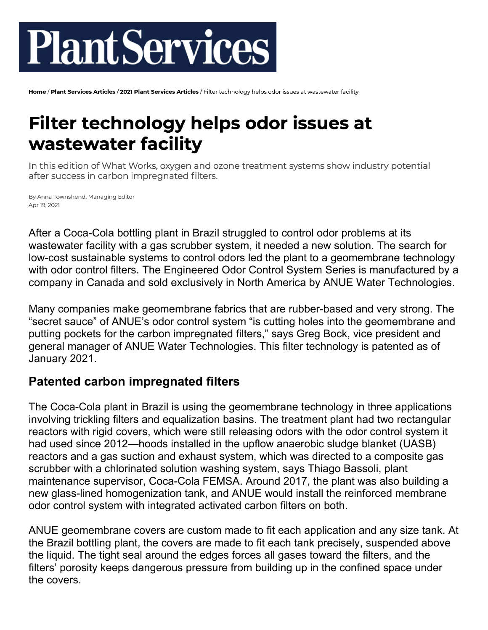# **PlantServices**

Home / Plant Services Articles / 2021 Plant Services Articles / Filter technology helps odor issues at wastewater facility

## **Filter technology helps odor issues at** wastewater facility

In this edition of What Works, oxygen and ozone treatment systems show industry potential after success in carbon impregnated filters.

By Anna Townshend, Managing Editor Apr 19, 2021

After a Coca-Cola bottling plant in Brazil struggled to control odor problems at its wastewater facility with a gas scrubber system, it needed a new solution. The search for low-cost sustainable systems to control odors led the plant to a geomembrane technology with odor control filters. The Engineered Odor Control System Series is manufactured by a company in Canada and sold exclusively in North America by ANUE Water Technologies.

Many companies make geomembrane fabrics that are rubber-based and very strong. The "secret sauce" of ANUE's odor control system "is cutting holes into the geomembrane and putting pockets for the carbon impregnated filters," says Greg Bock, vice president and general manager of ANUE Water Technologies. This filter technology is patented as of January 2021.

### **Patented carbon impregnated filters**

The Coca-Cola plant in Brazil is using the geomembrane technology in three applications involving trickling filters and equalization basins. The treatment plant had two rectangular reactors with rigid covers, which were still releasing odors with the odor control system it had used since 2012—hoods installed in the upflow anaerobic sludge blanket (UASB) reactors and a gas suction and exhaust system, which was directed to a composite gas scrubber with a chlorinated solution washing system, says Thiago Bassoli, plant maintenance supervisor, Coca-Cola FEMSA. Around 2017, the plant was also building a new glass-lined homogenization tank, and ANUE would install the reinforced membrane odor control system with integrated activated carbon filters on both.

ANUE geomembrane covers are custom made to fit each application and any size tank. At the Brazil bottling plant, the covers are made to fit each tank precisely, suspended above the liquid. The tight seal around the edges forces all gases toward the filters, and the filters' porosity keeps dangerous pressure from building up in the confined space under the covers.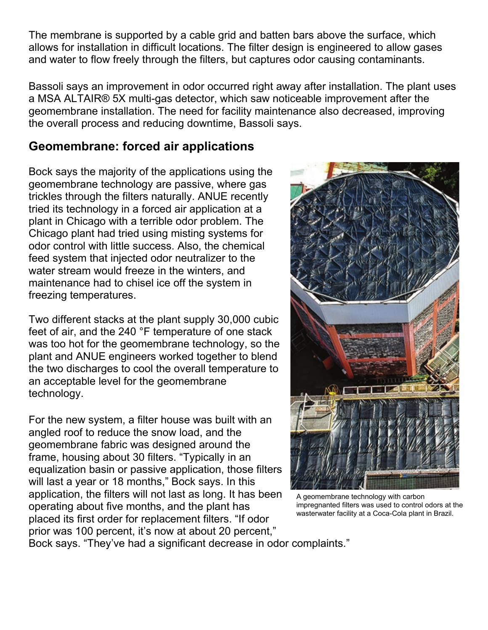The membrane is supported by a cable grid and batten bars above the surface, which allows for installation in difficult locations. The filter design is engineered to allow gases and water to flow freely through the filters, but captures odor causing contaminants.

Bassoli says an improvement in odor occurred right away after installation. The plant uses a MSA ALTAIR® 5X multi-gas detector, which saw noticeable improvement after the geomembrane installation. The need for facility maintenance also decreased, improving the overall process and reducing downtime, Bassoli says.

#### **Geomembrane: forced air applications**

Bock says the majority of the applications using the geomembrane technology are passive, where gas trickles through the filters naturally. ANUE recently tried its technology in a forced air application at a plant in Chicago with a terrible odor problem. The Chicago plant had tried using misting systems for odor control with little success. Also, the chemical feed system that injected odor neutralizer to the water stream would freeze in the winters, and maintenance had to chisel ice off the system in freezing temperatures.

Two different stacks at the plant supply 30,000 cubic feet of air, and the 240 °F temperature of one stack was too hot for the geomembrane technology, so the plant and ANUE engineers worked together to blend the two discharges to cool the overall temperature to an acceptable level for the geomembrane technology.

For the new system, a filter house was built with an angled roof to reduce the snow load, and the geomembrane fabric was designed around the frame, housing about 30 filters. "Typically in an equalization basin or passive application, those filters will last a year or 18 months," Bock says. In this application, the filters will not last as long. It has been operating about five months, and the plant has placed its first order for replacement filters. "If odor prior was 100 percent, it's now at about 20 percent,"



A geomembrane technology with carbon impregnanted filters was used to control odors at the wasterwater facility at a Coca-Cola plant in Brazil.

Bock says. "They've had a significant decrease in odor complaints."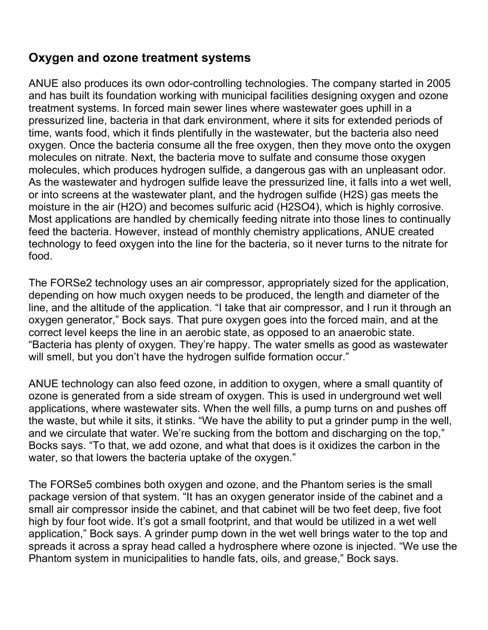#### **Oxygen and ozone treatment systems**

ANUE also produces its own odor-controlling technologies. The company started in 2005 and has built its foundation working with municipal facilities designing oxygen and ozone treatment systems. In forced main sewer lines where wastewater goes uphill in a pressurized line, bacteria in that dark environment, where it sits for extended periods of time, wants food, which it finds plentifully in the wastewater, but the bacteria also need oxygen. Once the bacteria consume all the free oxygen, then they move onto the oxygen molecules on nitrate. Next, the bacteria move to sulfate and consume those oxygen molecules, which produces hydrogen sulfide, a dangerous gas with an unpleasant odor. As the wastewater and hydrogen sulfide leave the pressurized line, it falls into a wet well, or into screens at the wastewater plant, and the hydrogen sulfide (H2S) gas meets the moisture in the air (H2O) and becomes sulfuric acid (H2SO4), which is highly corrosive. Most applications are handled by chemically feeding nitrate into those lines to continually feed the bacteria. However, instead of monthly chemistry applications, ANUE created technology to feed oxygen into the line for the bacteria, so it never turns to the nitrate for food.

The FORSe2 technology uses an air compressor, appropriately sized for the application, depending on how much oxygen needs to be produced, the length and diameter of the line, and the altitude of the application. "I take that air compressor, and I run it through an oxygen generator," Bock says. That pure oxygen goes into the forced main, and at the correct level keeps the line in an aerobic state, as opposed to an anaerobic state. "Bacteria has plenty of oxygen. They're happy. The water smells as good as wastewater will smell, but you don't have the hydrogen sulfide formation occur."

ANUE technology can also feed ozone, in addition to oxygen, where a small quantity of ozone is generated from a side stream of oxygen. This is used in underground wet well applications, where wastewater sits. When the well fills, a pump turns on and pushes off the waste, but while it sits, it stinks. "We have the ability to put a grinder pump in the well, and we circulate that water. We're sucking from the bottom and discharging on the top," Bocks says. "To that, we add ozone, and what that does is it oxidizes the carbon in the water, so that lowers the bacteria uptake of the oxygen."

The FORSe5 combines both oxygen and ozone, and the Phantom series is the small package version of that system. "It has an oxygen generator inside of the cabinet and a small air compressor inside the cabinet, and that cabinet will be two feet deep, five foot high by four foot wide. It's got a small footprint, and that would be utilized in a wet well application," Bock says. A grinder pump down in the wet well brings water to the top and spreads it across a spray head called a hydrosphere where ozone is injected. "We use the Phantom system in municipalities to handle fats, oils, and grease," Bock says.